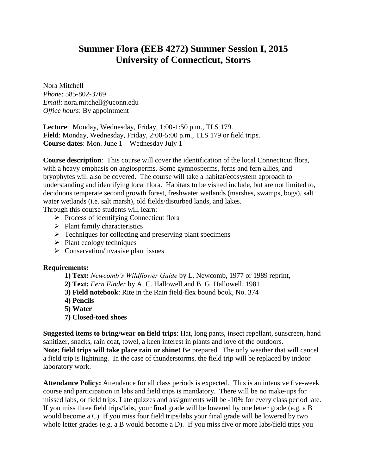# **Summer Flora (EEB 4272) Summer Session I, 2015 University of Connecticut, Storrs**

Nora Mitchell *Phone*: 585-802-3769 *Email*: nora.mitchell@uconn.edu *Office hours*: By appointment

**Lecture**: Monday, Wednesday, Friday, 1:00-1:50 p.m., TLS 179. **Field**: Monday, Wednesday, Friday, 2:00-5:00 p.m., TLS 179 or field trips. **Course dates**: Mon. June 1 – Wednesday July 1

**Course description**: This course will cover the identification of the local Connecticut flora, with a heavy emphasis on angiosperms. Some gymnosperms, ferns and fern allies, and bryophytes will also be covered. The course will take a habitat/ecosystem approach to understanding and identifying local flora. Habitats to be visited include, but are not limited to, deciduous temperate second growth forest, freshwater wetlands (marshes, swamps, bogs), salt water wetlands (i.e. salt marsh), old fields/disturbed lands, and lakes.

Through this course students will learn:

- $\triangleright$  Process of identifying Connecticut flora
- $\triangleright$  Plant family characteristics
- $\triangleright$  Techniques for collecting and preserving plant specimens
- $\triangleright$  Plant ecology techniques
- $\triangleright$  Conservation/invasive plant issues

#### **Requirements:**

- **1) Text:** *Newcomb's Wildflower Guide* by L. Newcomb, 1977 or 1989 reprint,
- **2) Text:** *Fern Finder* by A. C. Hallowell and B. G. Hallowell, 1981
- **3) Field notebook**: Rite in the Rain field-flex bound book, No. 374
- **4) Pencils**
- **5) Water**
- **7) Closed-toed shoes**

**Suggested items to bring/wear on field trips**: Hat, long pants, insect repellant, sunscreen, hand sanitizer, snacks, rain coat, towel, a keen interest in plants and love of the outdoors. **Note: field trips will take place rain or shine!** Be prepared. The only weather that will cancel a field trip is lightning. In the case of thunderstorms, the field trip will be replaced by indoor laboratory work.

**Attendance Policy:** Attendance for all class periods is expected. This is an intensive five-week course and participation in labs and field trips is mandatory. There will be no make-ups for missed labs, or field trips. Late quizzes and assignments will be -10% for every class period late. If you miss three field trips/labs, your final grade will be lowered by one letter grade (e.g. a B would become a C). If you miss four field trips/labs your final grade will be lowered by two whole letter grades (e.g. a B would become a D). If you miss five or more labs/field trips you